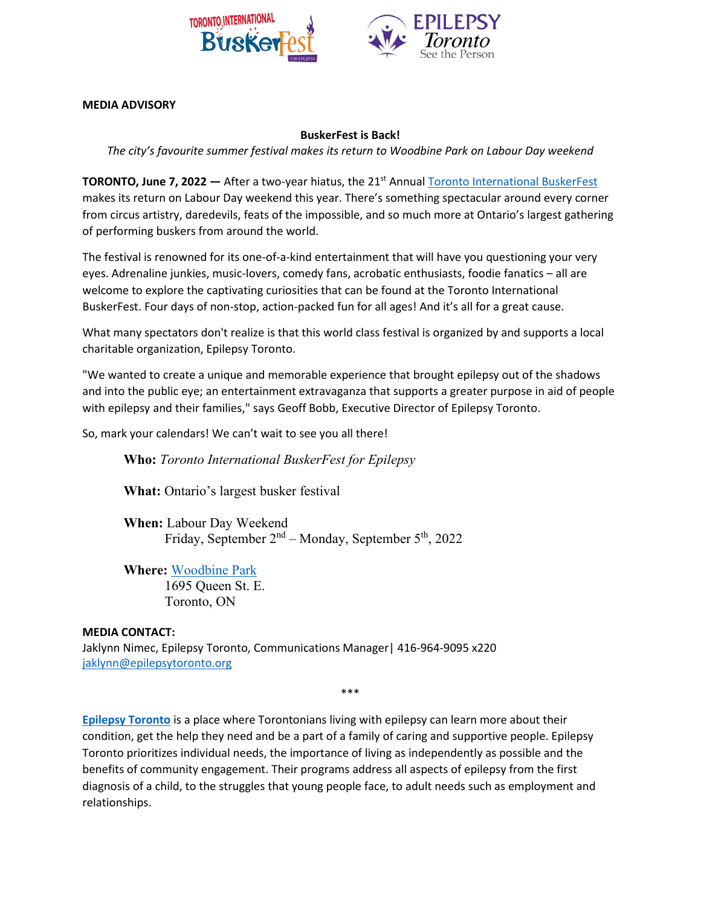

**MEDIA ADVISORY**

## **BuskerFest is Back!**

*The city's favourite summer festival makes its return to Woodbine Park on Labour Day weekend*

**TORONTO, June 7, 2022** — After a two-year hiatus, the 21<sup>st</sup> Annual [Toronto International BuskerFest](https://torontobuskerfest.com/) makes its return on Labour Day weekend this year. There's something spectacular around every corner from circus artistry, daredevils, feats of the impossible, and so much more at Ontario's largest gathering of performing buskers from around the world.

The festival is renowned for its one-of-a-kind entertainment that will have you questioning your very eyes. Adrenaline junkies, music-lovers, comedy fans, acrobatic enthusiasts, foodie fanatics – all are welcome to explore the captivating curiosities that can be found at the Toronto International BuskerFest. Four days of non-stop, action-packed fun for all ages! And it's all for a great cause.

What many spectators don't realize is that this world class festival is organized by and supports a local charitable organization, Epilepsy Toronto.

"We wanted to create a unique and memorable experience that brought epilepsy out of the shadows and into the public eye; an entertainment extravaganza that supports a greater purpose in aid of people with epilepsy and their families," says Geoff Bobb, Executive Director of Epilepsy Toronto.

So, mark your calendars! We can't wait to see you all there!

**Who:** *Toronto International BuskerFest for Epilepsy*

**What:** Ontario's largest busker festival

**When:** Labour Day Weekend Friday, September 2nd – Monday, September 5th, 2022

**Where:** [Woodbine Park](https://www.google.com/maps/place/Woodbine+Park/@43.664043,-79.3138484,15z/data=!4m2!3m1!1s0x0:0x45b0d00cf97a3ccc?sa=X&ved=2ahUKEwjGz8eT8ub3AhUQLM0KHeOBAekQ_BJ6BQiEARAF) 1695 Queen St. E.

Toronto, ON

## **MEDIA CONTACT:**

Jaklynn Nimec, Epilepsy Toronto, Communications Manager| 416-964-9095 x220 [jaklynn@epilepsytoronto.org](mailto:jaklynn@epilepsytoronto.org)

\*\*\*

**[Epilepsy Toronto](https://epilepsytoronto.org/)** is a place where Torontonians living with epilepsy can learn more about their condition, get the help they need and be a part of a family of caring and supportive people. Epilepsy Toronto prioritizes individual needs, the importance of living as independently as possible and the benefits of community engagement. Their programs address all aspects of epilepsy from the first diagnosis of a child, to the struggles that young people face, to adult needs such as employment and relationships.